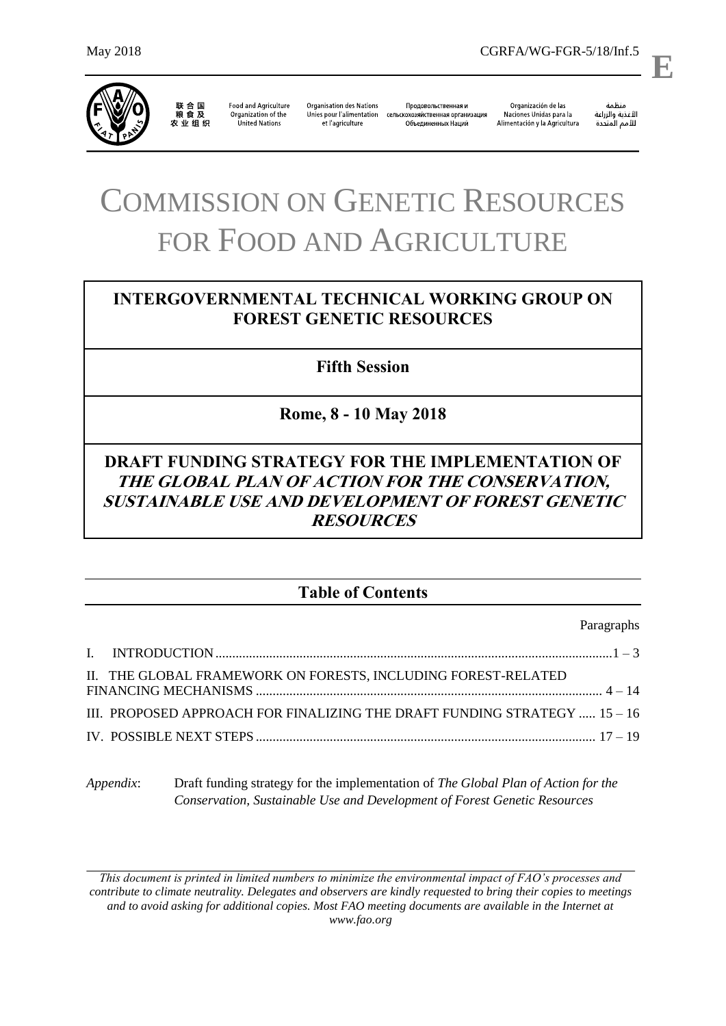

联合国<br>粮食及 

**Food and Agriculture** Organization of the United Nations

**Organisation des Nations** Продовольственная и Unies pour l'alimentation сельскохозяйственная организация et l'agriculture Объединенных Наций

Organización de las Naciones Unidas para la Alimentación y la Agricultura ستنسه<br>الأغذية والزراعة<br>للأمم المتددة

l,

**E**

منظمة

# COMMISSION ON GENETIC RESOURCES FOR FOOD AND AGRICULTURE

# **INTERGOVERNMENTAL TECHNICAL WORKING GROUP ON FOREST GENETIC RESOURCES**

**Fifth Session**

**Rome, 8 - 10 May 2018**

# **DRAFT FUNDING STRATEGY FOR THE IMPLEMENTATION OF THE GLOBAL PLAN OF ACTION FOR THE CONSERVATION, SUSTAINABLE USE AND DEVELOPMENT OF FOREST GENETIC RESOURCES**

# **Table of Contents**

Paragraphs

| II. THE GLOBAL FRAMEWORK ON FORESTS, INCLUDING FOREST-RELATED             |
|---------------------------------------------------------------------------|
| III. PROPOSED APPROACH FOR FINALIZING THE DRAFT FUNDING STRATEGY  15 - 16 |
|                                                                           |

*Appendix*: Draft funding strategy for the implementation of *The Global Plan of Action for the Conservation, Sustainable Use and Development of Forest Genetic Resources*

*This document is printed in limited numbers to minimize the environmental impact of FAO's processes and contribute to climate neutrality. Delegates and observers are kindly requested to bring their copies to meetings and to avoid asking for additional copies. Most FAO meeting documents are available in the Internet at www.fao.org*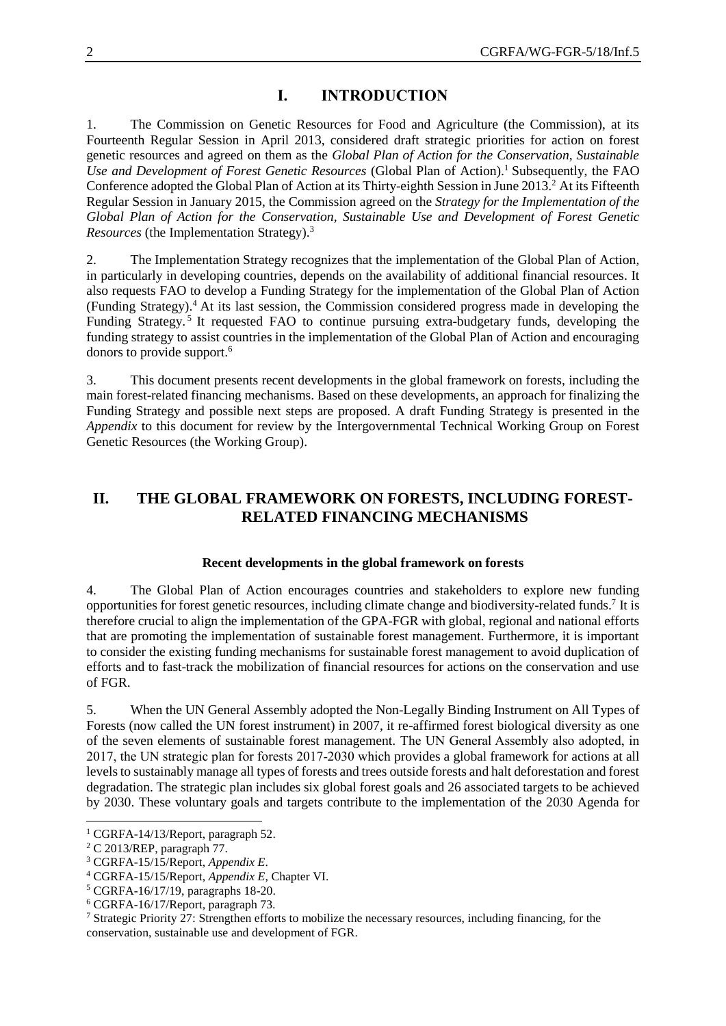# **I. INTRODUCTION**

1. The Commission on Genetic Resources for Food and Agriculture (the Commission), at its Fourteenth Regular Session in April 2013, considered draft strategic priorities for action on forest genetic resources and agreed on them as the *Global Plan of Action for the Conservation, Sustainable Use and Development of Forest Genetic Resources* (Global Plan of Action).<sup>1</sup> Subsequently, the FAO Conference adopted the Global Plan of Action at its Thirty-eighth Session in June 2013.<sup>2</sup> At its Fifteenth Regular Session in January 2015, the Commission agreed on the *Strategy for the Implementation of the Global Plan of Action for the Conservation, Sustainable Use and Development of Forest Genetic Resources* (the Implementation Strategy).<sup>3</sup>

2. The Implementation Strategy recognizes that the implementation of the Global Plan of Action, in particularly in developing countries, depends on the availability of additional financial resources. It also requests FAO to develop a Funding Strategy for the implementation of the Global Plan of Action (Funding Strategy). <sup>4</sup> At its last session, the Commission considered progress made in developing the Funding Strategy.<sup>5</sup> It requested FAO to continue pursuing extra-budgetary funds, developing the funding strategy to assist countries in the implementation of the Global Plan of Action and encouraging donors to provide support.<sup>6</sup>

3. This document presents recent developments in the global framework on forests, including the main forest-related financing mechanisms. Based on these developments, an approach for finalizing the Funding Strategy and possible next steps are proposed. A draft Funding Strategy is presented in the *Appendix* to this document for review by the Intergovernmental Technical Working Group on Forest Genetic Resources (the Working Group).

# **II. THE GLOBAL FRAMEWORK ON FORESTS, INCLUDING FOREST-RELATED FINANCING MECHANISMS**

#### **Recent developments in the global framework on forests**

4. The Global Plan of Action encourages countries and stakeholders to explore new funding opportunities for forest genetic resources, including climate change and biodiversity-related funds.<sup>7</sup> It is therefore crucial to align the implementation of the GPA-FGR with global, regional and national efforts that are promoting the implementation of sustainable forest management. Furthermore, it is important to consider the existing funding mechanisms for sustainable forest management to avoid duplication of efforts and to fast-track the mobilization of financial resources for actions on the conservation and use of FGR.

5. When the UN General Assembly adopted the Non-Legally Binding Instrument on All Types of Forests (now called the UN forest instrument) in 2007, it re-affirmed forest biological diversity as one of the seven elements of sustainable forest management. The UN General Assembly also adopted, in 2017, the UN strategic plan for forests 2017-2030 which provides a global framework for actions at all levels to sustainably manage all types of forests and trees outside forests and halt deforestation and forest degradation. The strategic plan includes six global forest goals and 26 associated targets to be achieved by 2030. These voluntary goals and targets contribute to the implementation of the 2030 Agenda for

l

 $1$  CGRFA-14/13/Report, paragraph 52.

<sup>2</sup> C 2013/REP, paragraph 77.

<sup>3</sup> CGRFA-15/15/Report, *Appendix E*.

<sup>4</sup> CGRFA-15/15/Report, *Appendix E*, Chapter VI.

<sup>5</sup> CGRFA-16/17/19, paragraphs 18-20.

<sup>6</sup> CGRFA-16/17/Report, paragraph 73.

<sup>7</sup> Strategic Priority 27: Strengthen efforts to mobilize the necessary resources, including financing, for the conservation, sustainable use and development of FGR.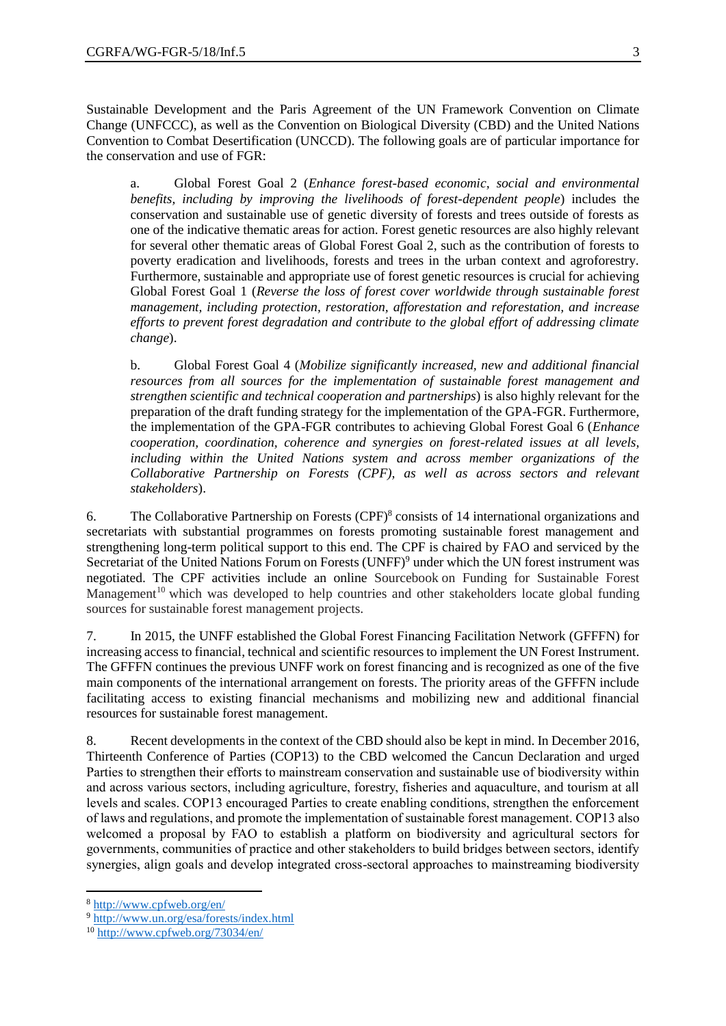Sustainable Development and the Paris Agreement of the UN Framework Convention on Climate Change (UNFCCC), as well as the Convention on Biological Diversity (CBD) and the United Nations Convention to Combat Desertification (UNCCD). The following goals are of particular importance for the conservation and use of FGR:

a. Global Forest Goal 2 (*Enhance forest-based economic, social and environmental benefits, including by improving the livelihoods of forest-dependent people*) includes the conservation and sustainable use of genetic diversity of forests and trees outside of forests as one of the indicative thematic areas for action. Forest genetic resources are also highly relevant for several other thematic areas of Global Forest Goal 2, such as the contribution of forests to poverty eradication and livelihoods, forests and trees in the urban context and agroforestry. Furthermore, sustainable and appropriate use of forest genetic resources is crucial for achieving Global Forest Goal 1 (*Reverse the loss of forest cover worldwide through sustainable forest management, including protection, restoration, afforestation and reforestation, and increase efforts to prevent forest degradation and contribute to the global effort of addressing climate change*).

b. Global Forest Goal 4 (*Mobilize significantly increased, new and additional financial resources from all sources for the implementation of sustainable forest management and strengthen scientific and technical cooperation and partnerships*) is also highly relevant for the preparation of the draft funding strategy for the implementation of the GPA-FGR. Furthermore, the implementation of the GPA-FGR contributes to achieving Global Forest Goal 6 (*Enhance cooperation, coordination, coherence and synergies on forest-related issues at all levels, including within the United Nations system and across member organizations of the Collaborative Partnership on Forests (CPF), as well as across sectors and relevant stakeholders*).

6. The Collaborative Partnership on Forests (CPF) 8 consists of 14 international organizations and secretariats with substantial programmes on forests promoting sustainable forest management and strengthening long-term political support to this end. The CPF is chaired by FAO and serviced by the Secretariat of the United Nations Forum on Forests (UNFF)<sup>9</sup> under which the UN forest instrument was negotiated. The CPF activities include an online Sourcebook on Funding for Sustainable Forest Management<sup>10</sup> which was developed to help countries and other stakeholders locate global funding sources for sustainable forest management projects.

7. In 2015, the UNFF established the Global Forest Financing Facilitation Network (GFFFN) for increasing access to financial, technical and scientific resources to implement the UN Forest Instrument. The GFFFN continues the previous UNFF work on forest financing and is recognized as one of the five main components of the international arrangement on forests. The priority areas of the GFFFN include facilitating access to existing financial mechanisms and mobilizing new and additional financial resources for sustainable forest management.

8. Recent developments in the context of the CBD should also be kept in mind. In December 2016, Thirteenth Conference of Parties (COP13) to the CBD welcomed the Cancun Declaration and urged Parties to strengthen their efforts to mainstream conservation and sustainable use of biodiversity within and across various sectors, including agriculture, forestry, fisheries and aquaculture, and tourism at all levels and scales. COP13 encouraged Parties to create enabling conditions, strengthen the enforcement of laws and regulations, and promote the implementation of sustainable forest management. COP13 also welcomed a proposal by FAO to establish a platform on biodiversity and agricultural sectors for governments, communities of practice and other stakeholders to build bridges between sectors, identify synergies, align goals and develop integrated cross-sectoral approaches to mainstreaming biodiversity

l

<sup>8</sup> <http://www.cpfweb.org/en/>

<sup>9</sup> <http://www.un.org/esa/forests/index.html>

<sup>10</sup> <http://www.cpfweb.org/73034/en/>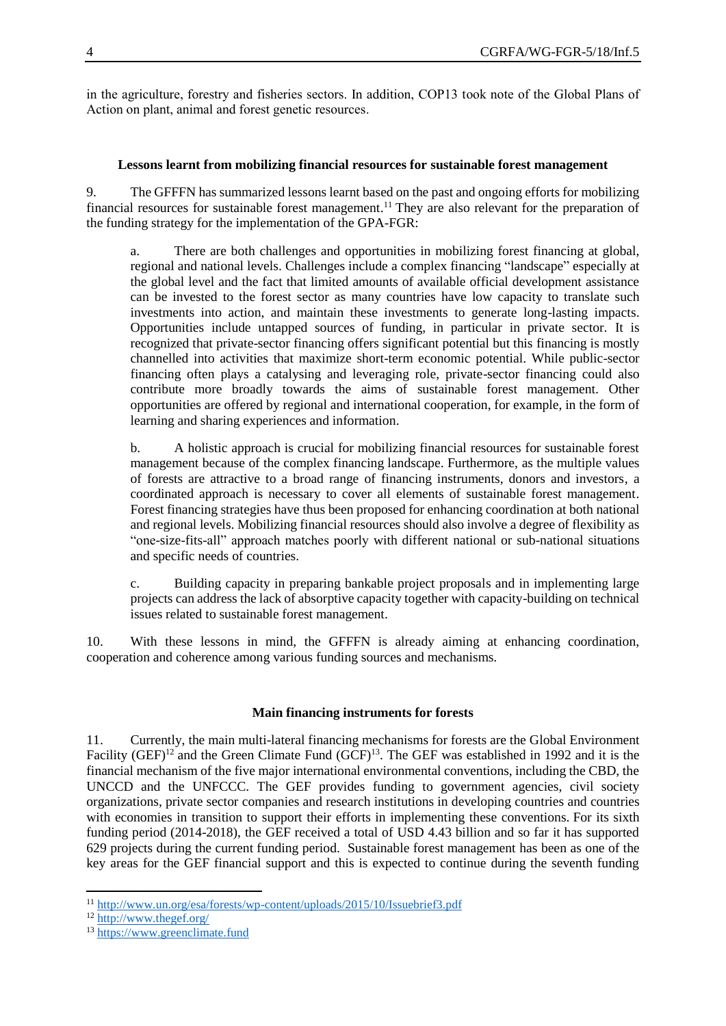in the agriculture, forestry and fisheries sectors. In addition, COP13 took note of the Global Plans of Action on plant, animal and forest genetic resources.

## **Lessons learnt from mobilizing financial resources for sustainable forest management**

9. The GFFFN has summarized lessons learnt based on the past and ongoing efforts for mobilizing financial resources for sustainable forest management. <sup>11</sup> They are also relevant for the preparation of the funding strategy for the implementation of the GPA-FGR:

a. There are both challenges and opportunities in mobilizing forest financing at global, regional and national levels. Challenges include a complex financing "landscape" especially at the global level and the fact that limited amounts of available official development assistance can be invested to the forest sector as many countries have low capacity to translate such investments into action, and maintain these investments to generate long-lasting impacts. Opportunities include untapped sources of funding, in particular in private sector. It is recognized that private-sector financing offers significant potential but this financing is mostly channelled into activities that maximize short-term economic potential. While public-sector financing often plays a catalysing and leveraging role, private-sector financing could also contribute more broadly towards the aims of sustainable forest management. Other opportunities are offered by regional and international cooperation, for example, in the form of learning and sharing experiences and information.

b. A holistic approach is crucial for mobilizing financial resources for sustainable forest management because of the complex financing landscape. Furthermore, as the multiple values of forests are attractive to a broad range of financing instruments, donors and investors, a coordinated approach is necessary to cover all elements of sustainable forest management. Forest financing strategies have thus been proposed for enhancing coordination at both national and regional levels. Mobilizing financial resources should also involve a degree of flexibility as "one-size-fits-all" approach matches poorly with different national or sub-national situations and specific needs of countries.

c. Building capacity in preparing bankable project proposals and in implementing large projects can address the lack of absorptive capacity together with capacity-building on technical issues related to sustainable forest management.

10. With these lessons in mind, the GFFFN is already aiming at enhancing coordination, cooperation and coherence among various funding sources and mechanisms.

## **Main financing instruments for forests**

11. Currently, the main multi-lateral financing mechanisms for forests are the Global Environment Facility (GEF)<sup>12</sup> and the Green Climate Fund (GCF)<sup>13</sup>. The GEF was established in 1992 and it is the financial mechanism of the five major international environmental conventions, including the CBD, the UNCCD and the UNFCCC. The GEF provides funding to government agencies, civil society organizations, private sector companies and research institutions in developing countries and countries with economies in transition to support their efforts in implementing these conventions. For its sixth funding period (2014-2018), the GEF received a total of USD 4.43 billion and so far it has supported 629 projects during the current funding period. Sustainable forest management has been as one of the key areas for the GEF financial support and this is expected to continue during the seventh funding

l <sup>11</sup> <http://www.un.org/esa/forests/wp-content/uploads/2015/10/Issuebrief3.pdf>

<sup>12</sup> <http://www.thegef.org/>

<sup>13</sup> [https://www.greenclimate.fund](https://www.greenclimate.fund/)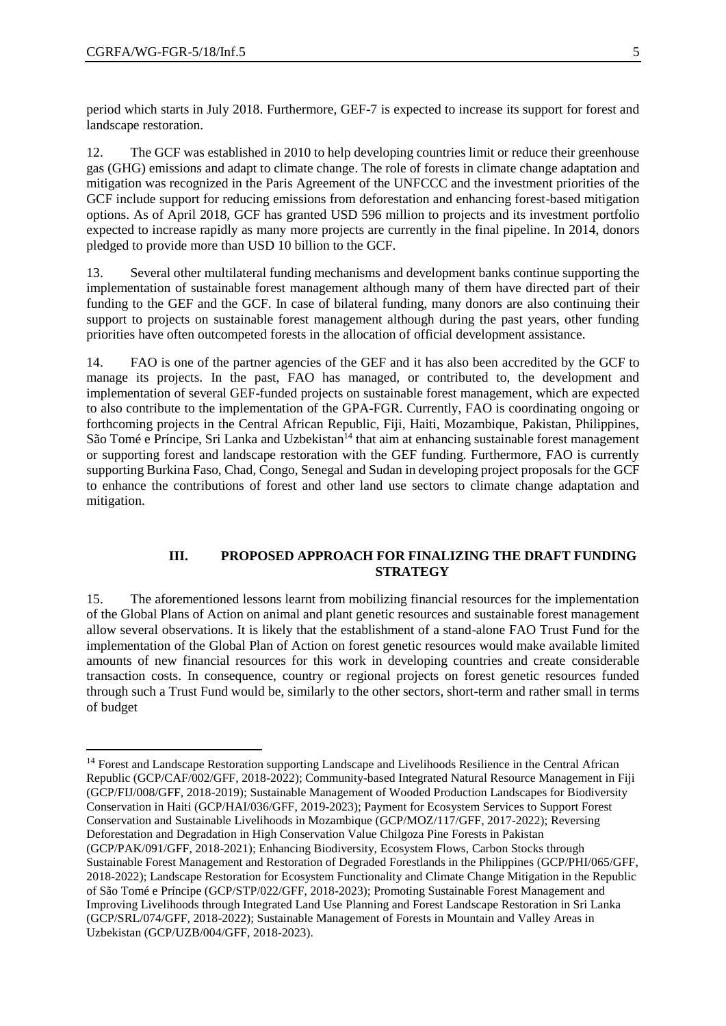$\overline{a}$ 

period which starts in July 2018. Furthermore, GEF-7 is expected to increase its support for forest and landscape restoration.

12. The GCF was established in 2010 to help developing countries limit or reduce their greenhouse gas (GHG) emissions and adapt to climate change. The role of forests in climate change adaptation and mitigation was recognized in the Paris Agreement of the UNFCCC and the investment priorities of the GCF include support for reducing emissions from deforestation and enhancing forest-based mitigation options. As of April 2018, GCF has granted USD 596 million to projects and its investment portfolio expected to increase rapidly as many more projects are currently in the final pipeline. In 2014, donors pledged to provide more than USD 10 billion to the GCF.

13. Several other multilateral funding mechanisms and development banks continue supporting the implementation of sustainable forest management although many of them have directed part of their funding to the GEF and the GCF. In case of bilateral funding, many donors are also continuing their support to projects on sustainable forest management although during the past years, other funding priorities have often outcompeted forests in the allocation of official development assistance.

14. FAO is one of the partner agencies of the GEF and it has also been accredited by the GCF to manage its projects. In the past, FAO has managed, or contributed to, the development and implementation of several GEF-funded projects on sustainable forest management, which are expected to also contribute to the implementation of the GPA-FGR. Currently, FAO is coordinating ongoing or forthcoming projects in the Central African Republic, Fiji, Haiti, Mozambique, Pakistan, Philippines, São Tomé e Príncipe, Sri Lanka and Uzbekistan<sup>14</sup> that aim at enhancing sustainable forest management or supporting forest and landscape restoration with the GEF funding. Furthermore, FAO is currently supporting Burkina Faso, Chad, Congo, Senegal and Sudan in developing project proposals for the GCF to enhance the contributions of forest and other land use sectors to climate change adaptation and mitigation.

#### **III. PROPOSED APPROACH FOR FINALIZING THE DRAFT FUNDING STRATEGY**

15. The aforementioned lessons learnt from mobilizing financial resources for the implementation of the Global Plans of Action on animal and plant genetic resources and sustainable forest management allow several observations. It is likely that the establishment of a stand-alone FAO Trust Fund for the implementation of the Global Plan of Action on forest genetic resources would make available limited amounts of new financial resources for this work in developing countries and create considerable transaction costs. In consequence, country or regional projects on forest genetic resources funded through such a Trust Fund would be, similarly to the other sectors, short-term and rather small in terms of budget

<sup>&</sup>lt;sup>14</sup> Forest and Landscape Restoration supporting Landscape and Livelihoods Resilience in the Central African Republic (GCP/CAF/002/GFF, 2018-2022); Community-based Integrated Natural Resource Management in Fiji (GCP/FIJ/008/GFF, 2018-2019); Sustainable Management of Wooded Production Landscapes for Biodiversity Conservation in Haiti (GCP/HAI/036/GFF, 2019-2023); Payment for Ecosystem Services to Support Forest Conservation and Sustainable Livelihoods in Mozambique (GCP/MOZ/117/GFF, 2017-2022); Reversing Deforestation and Degradation in High Conservation Value Chilgoza Pine Forests in Pakistan (GCP/PAK/091/GFF, 2018-2021); Enhancing Biodiversity, Ecosystem Flows, Carbon Stocks through Sustainable Forest Management and Restoration of Degraded Forestlands in the Philippines (GCP/PHI/065/GFF, 2018-2022); Landscape Restoration for Ecosystem Functionality and Climate Change Mitigation in the Republic of São Tomé e Príncipe (GCP/STP/022/GFF, 2018-2023); Promoting Sustainable Forest Management and Improving Livelihoods through Integrated Land Use Planning and Forest Landscape Restoration in Sri Lanka (GCP/SRL/074/GFF, 2018-2022); Sustainable Management of Forests in Mountain and Valley Areas in Uzbekistan (GCP/UZB/004/GFF, 2018-2023).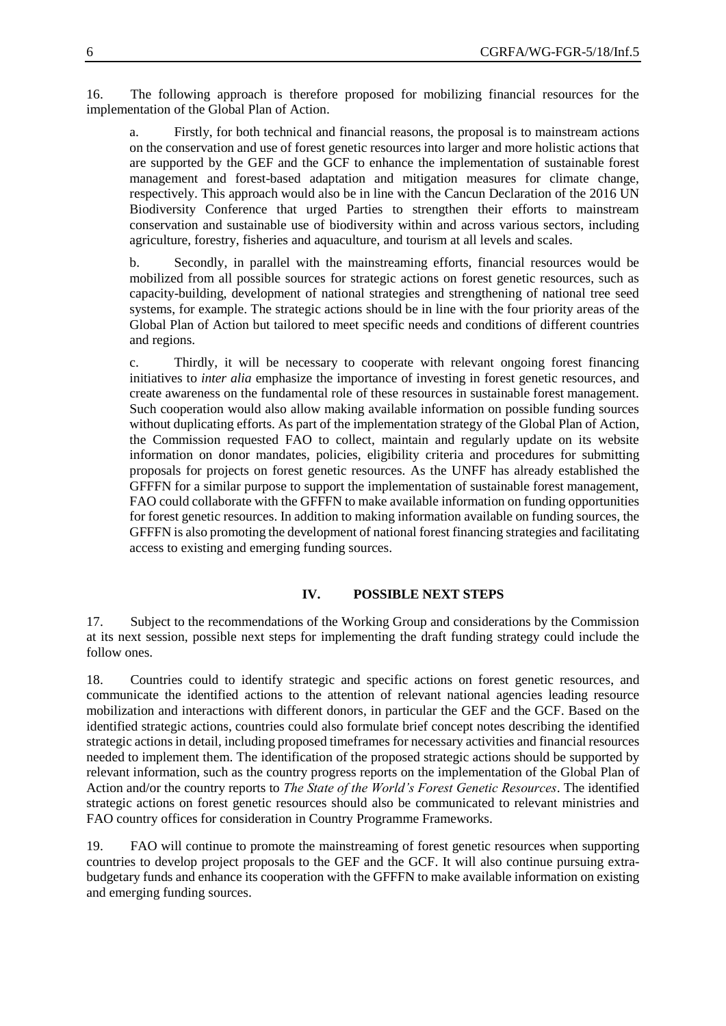16. The following approach is therefore proposed for mobilizing financial resources for the implementation of the Global Plan of Action.

a. Firstly, for both technical and financial reasons, the proposal is to mainstream actions on the conservation and use of forest genetic resources into larger and more holistic actions that are supported by the GEF and the GCF to enhance the implementation of sustainable forest management and forest-based adaptation and mitigation measures for climate change, respectively. This approach would also be in line with the Cancun Declaration of the 2016 UN Biodiversity Conference that urged Parties to strengthen their efforts to mainstream conservation and sustainable use of biodiversity within and across various sectors, including agriculture, forestry, fisheries and aquaculture, and tourism at all levels and scales.

b. Secondly, in parallel with the mainstreaming efforts, financial resources would be mobilized from all possible sources for strategic actions on forest genetic resources, such as capacity-building, development of national strategies and strengthening of national tree seed systems, for example. The strategic actions should be in line with the four priority areas of the Global Plan of Action but tailored to meet specific needs and conditions of different countries and regions.

c. Thirdly, it will be necessary to cooperate with relevant ongoing forest financing initiatives to *inter alia* emphasize the importance of investing in forest genetic resources, and create awareness on the fundamental role of these resources in sustainable forest management. Such cooperation would also allow making available information on possible funding sources without duplicating efforts. As part of the implementation strategy of the Global Plan of Action, the Commission requested FAO to collect, maintain and regularly update on its website information on donor mandates, policies, eligibility criteria and procedures for submitting proposals for projects on forest genetic resources. As the UNFF has already established the GFFFN for a similar purpose to support the implementation of sustainable forest management, FAO could collaborate with the GFFFN to make available information on funding opportunities for forest genetic resources. In addition to making information available on funding sources, the GFFFN is also promoting the development of national forest financing strategies and facilitating access to existing and emerging funding sources.

## **IV. POSSIBLE NEXT STEPS**

17. Subject to the recommendations of the Working Group and considerations by the Commission at its next session, possible next steps for implementing the draft funding strategy could include the follow ones.

18. Countries could to identify strategic and specific actions on forest genetic resources, and communicate the identified actions to the attention of relevant national agencies leading resource mobilization and interactions with different donors, in particular the GEF and the GCF. Based on the identified strategic actions, countries could also formulate brief concept notes describing the identified strategic actions in detail, including proposed timeframes for necessary activities and financial resources needed to implement them. The identification of the proposed strategic actions should be supported by relevant information, such as the country progress reports on the implementation of the Global Plan of Action and/or the country reports to *The State of the World's Forest Genetic Resources*. The identified strategic actions on forest genetic resources should also be communicated to relevant ministries and FAO country offices for consideration in Country Programme Frameworks.

19. FAO will continue to promote the mainstreaming of forest genetic resources when supporting countries to develop project proposals to the GEF and the GCF. It will also continue pursuing extrabudgetary funds and enhance its cooperation with the GFFFN to make available information on existing and emerging funding sources.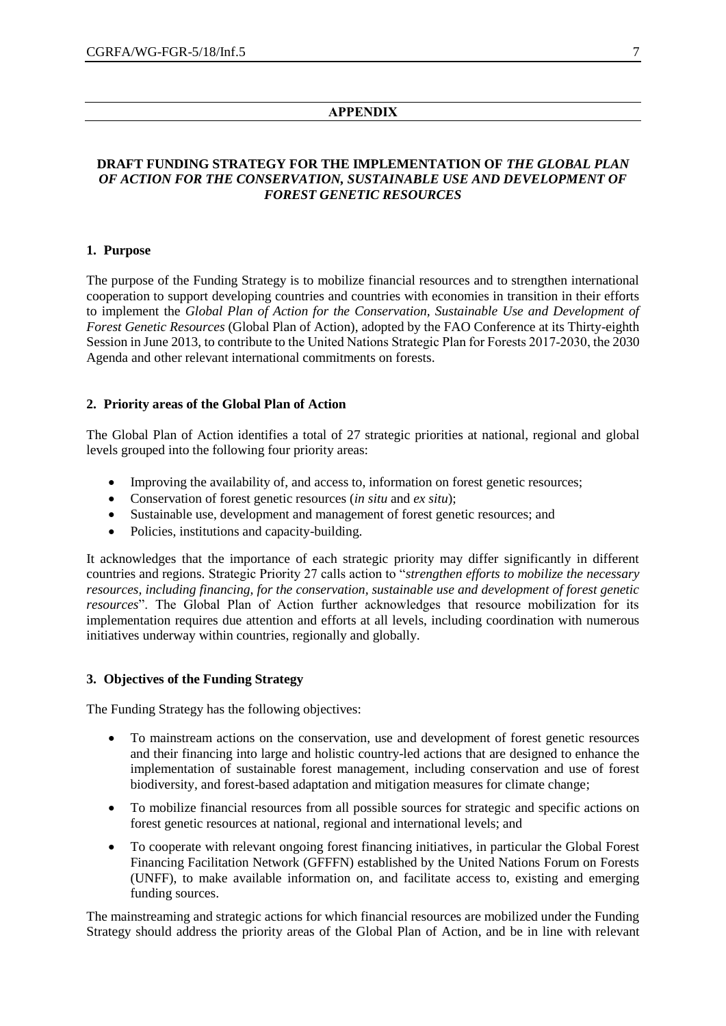#### **APPENDIX**

## **DRAFT FUNDING STRATEGY FOR THE IMPLEMENTATION OF** *THE GLOBAL PLAN OF ACTION FOR THE CONSERVATION, SUSTAINABLE USE AND DEVELOPMENT OF FOREST GENETIC RESOURCES*

#### **1. Purpose**

The purpose of the Funding Strategy is to mobilize financial resources and to strengthen international cooperation to support developing countries and countries with economies in transition in their efforts to implement the *Global Plan of Action for the Conservation, Sustainable Use and Development of Forest Genetic Resources* (Global Plan of Action), adopted by the FAO Conference at its Thirty-eighth Session in June 2013, to contribute to the United Nations Strategic Plan for Forests 2017-2030, the 2030 Agenda and other relevant international commitments on forests.

#### **2. Priority areas of the Global Plan of Action**

The Global Plan of Action identifies a total of 27 strategic priorities at national, regional and global levels grouped into the following four priority areas:

- Improving the availability of, and access to, information on forest genetic resources;
- Conservation of forest genetic resources (*in situ* and *ex situ*);
- Sustainable use, development and management of forest genetic resources; and
- Policies, institutions and capacity-building.

It acknowledges that the importance of each strategic priority may differ significantly in different countries and regions. Strategic Priority 27 calls action to "*strengthen efforts to mobilize the necessary resources, including financing, for the conservation, sustainable use and development of forest genetic resources*". The Global Plan of Action further acknowledges that resource mobilization for its implementation requires due attention and efforts at all levels, including coordination with numerous initiatives underway within countries, regionally and globally.

#### **3. Objectives of the Funding Strategy**

The Funding Strategy has the following objectives:

- To mainstream actions on the conservation, use and development of forest genetic resources and their financing into large and holistic country-led actions that are designed to enhance the implementation of sustainable forest management, including conservation and use of forest biodiversity, and forest-based adaptation and mitigation measures for climate change;
- To mobilize financial resources from all possible sources for strategic and specific actions on forest genetic resources at national, regional and international levels; and
- To cooperate with relevant ongoing forest financing initiatives, in particular the Global Forest Financing Facilitation Network (GFFFN) established by the United Nations Forum on Forests (UNFF), to make available information on, and facilitate access to, existing and emerging funding sources.

The mainstreaming and strategic actions for which financial resources are mobilized under the Funding Strategy should address the priority areas of the Global Plan of Action, and be in line with relevant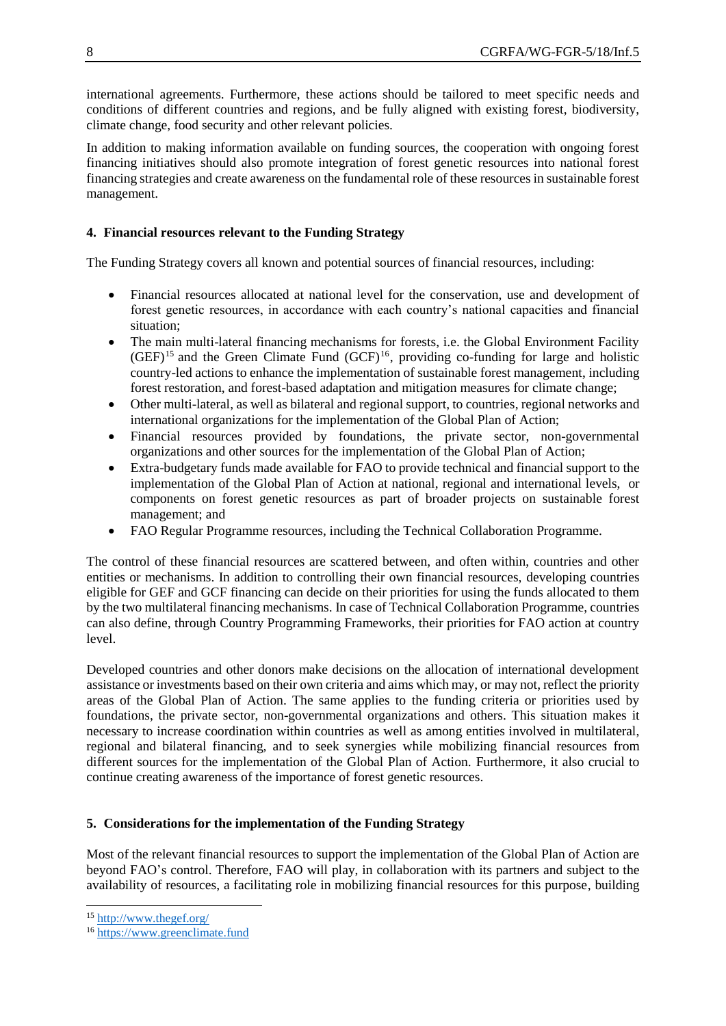international agreements. Furthermore, these actions should be tailored to meet specific needs and conditions of different countries and regions, and be fully aligned with existing forest, biodiversity, climate change, food security and other relevant policies.

In addition to making information available on funding sources, the cooperation with ongoing forest financing initiatives should also promote integration of forest genetic resources into national forest financing strategies and create awareness on the fundamental role of these resources in sustainable forest management.

# **4. Financial resources relevant to the Funding Strategy**

The Funding Strategy covers all known and potential sources of financial resources, including:

- Financial resources allocated at national level for the conservation, use and development of forest genetic resources, in accordance with each country's national capacities and financial situation;
- The main multi-lateral financing mechanisms for forests, i.e. the Global Environment Facility  $(GEF)^{15}$  and the Green Climate Fund  $(GCF)^{16}$ , providing co-funding for large and holistic country-led actions to enhance the implementation of sustainable forest management, including forest restoration, and forest-based adaptation and mitigation measures for climate change;
- Other multi-lateral, as well as bilateral and regional support, to countries, regional networks and international organizations for the implementation of the Global Plan of Action;
- Financial resources provided by foundations, the private sector, non-governmental organizations and other sources for the implementation of the Global Plan of Action;
- Extra-budgetary funds made available for FAO to provide technical and financial support to the implementation of the Global Plan of Action at national, regional and international levels, or components on forest genetic resources as part of broader projects on sustainable forest management; and
- FAO Regular Programme resources, including the Technical Collaboration Programme.

The control of these financial resources are scattered between, and often within, countries and other entities or mechanisms. In addition to controlling their own financial resources, developing countries eligible for GEF and GCF financing can decide on their priorities for using the funds allocated to them by the two multilateral financing mechanisms. In case of Technical Collaboration Programme, countries can also define, through Country Programming Frameworks, their priorities for FAO action at country level.

Developed countries and other donors make decisions on the allocation of international development assistance or investments based on their own criteria and aims which may, or may not, reflect the priority areas of the Global Plan of Action. The same applies to the funding criteria or priorities used by foundations, the private sector, non-governmental organizations and others. This situation makes it necessary to increase coordination within countries as well as among entities involved in multilateral, regional and bilateral financing, and to seek synergies while mobilizing financial resources from different sources for the implementation of the Global Plan of Action. Furthermore, it also crucial to continue creating awareness of the importance of forest genetic resources.

## **5. Considerations for the implementation of the Funding Strategy**

Most of the relevant financial resources to support the implementation of the Global Plan of Action are beyond FAO's control. Therefore, FAO will play, in collaboration with its partners and subject to the availability of resources, a facilitating role in mobilizing financial resources for this purpose, building

l

<sup>15</sup> <http://www.thegef.org/>

<sup>16</sup> [https://www.greenclimate.fund](https://www.greenclimate.fund/)